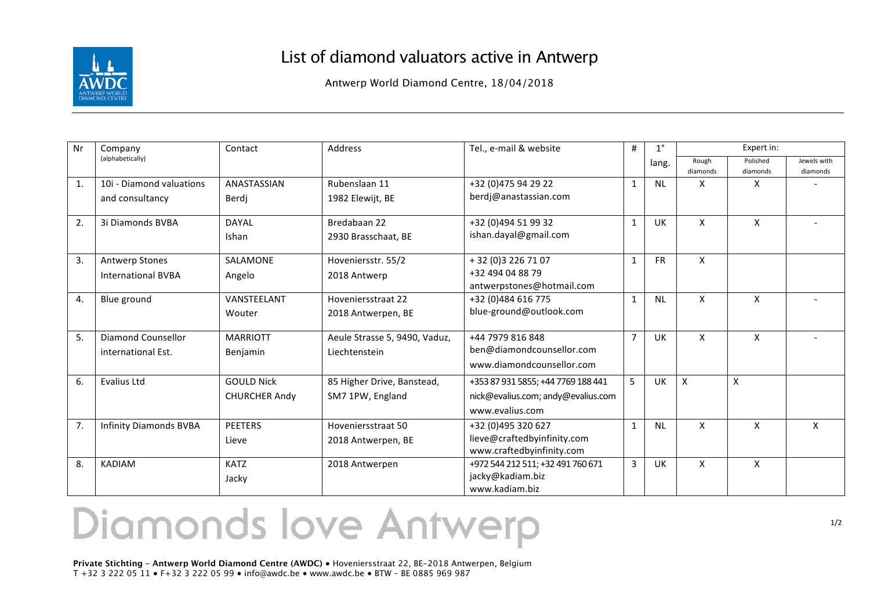

## List of diamond valuators active in Antwerp

Antwerp World Diamond Centre, 18/04/2018

| Nr | Company                       | Contact              | <b>Address</b>                | Tel., e-mail & website             | #              | $1^{\circ}$ | Expert in:                |                      |                         |
|----|-------------------------------|----------------------|-------------------------------|------------------------------------|----------------|-------------|---------------------------|----------------------|-------------------------|
|    | (alphabetically)              |                      |                               |                                    |                | lang.       | Rough<br>diamonds         | Polished<br>diamonds | Jewels with<br>diamonds |
| 1. | 10i - Diamond valuations      | ANASTASSIAN          | Rubenslaan 11                 | +32 (0)475 94 29 22                | 1              | <b>NL</b>   | x                         | X                    |                         |
|    | and consultancy               | Berdi                | 1982 Elewijt, BE              | berdj@anastassian.com              |                |             |                           |                      |                         |
| 2. | 3i Diamonds BVBA              | DAYAL                | Bredabaan 22                  | +32 (0)494 51 99 32                | 1              | UK          | X                         | X                    |                         |
|    |                               | Ishan                | 2930 Brasschaat, BE           | ishan.dayal@gmail.com              |                |             |                           |                      |                         |
| 3. | <b>Antwerp Stones</b>         | SALAMONE             | Hoveniersstr. 55/2            | + 32 (0) 3 2 2 6 7 1 0 7           | 1              | <b>FR</b>   | X                         |                      |                         |
|    | <b>International BVBA</b>     | Angelo               | 2018 Antwerp                  | +32 494 04 88 79                   |                |             |                           |                      |                         |
|    |                               |                      |                               | antwerpstones@hotmail.com          |                |             |                           |                      |                         |
| 4. | Blue ground                   | VANSTEELANT          | Hoveniersstraat 22            | +32 (0)484 616 775                 | $\mathbf{1}$   | <b>NL</b>   | X                         | X                    |                         |
|    |                               | Wouter               | 2018 Antwerpen, BE            | blue-ground@outlook.com            |                |             |                           |                      |                         |
| 5. | Diamond Counsellor            | <b>MARRIOTT</b>      | Aeule Strasse 5, 9490, Vaduz, | +44 7979 816 848                   | $\overline{7}$ | <b>UK</b>   | X                         | X                    |                         |
|    | international Est.            | Benjamin             | Liechtenstein                 | ben@diamondcounsellor.com          |                |             |                           |                      |                         |
|    |                               |                      |                               | www.diamondcounsellor.com          |                |             |                           |                      |                         |
| 6. | <b>Evalius Ltd</b>            | <b>GOULD Nick</b>    | 85 Higher Drive, Banstead,    | +353 87 931 5855; +44 7769 188 441 | 5              | UK          | $\boldsymbol{\mathsf{X}}$ | X                    |                         |
|    |                               | <b>CHURCHER Andy</b> | SM7 1PW, England              | nick@evalius.com; andy@evalius.com |                |             |                           |                      |                         |
|    |                               |                      |                               | www.evalius.com                    |                |             |                           |                      |                         |
| 7. | <b>Infinity Diamonds BVBA</b> | <b>PEETERS</b>       | Hoveniersstraat 50            | +32 (0)495 320 627                 | 1              | <b>NL</b>   | X                         | X                    | X                       |
|    |                               | Lieve                | 2018 Antwerpen, BE            | lieve@craftedbyinfinity.com        |                |             |                           |                      |                         |
|    |                               |                      |                               | www.craftedbyinfinity.com          |                |             |                           |                      |                         |
| 8. | <b>KADIAM</b>                 | <b>KATZ</b>          | 2018 Antwerpen                | +972 544 212 511; +32 491 760 671  | $\overline{3}$ | UK          | X                         | X                    |                         |
|    |                               | Jacky                |                               | jacky@kadiam.biz                   |                |             |                           |                      |                         |
|    |                               |                      |                               | www.kadiam.biz                     |                |             |                           |                      |                         |

## Diamonds love Antwerp

**Private Stichting – Antwerp World Diamond Centre (AWDC)** ● Hoveniersstraat 22, BE-2018 Antwerpen, Belgium T +32 3 222 05 11 ● F+32 3 222 05 99 ● info@awdc.be ● www.awdc.be ● BTW – BE 0885 969 987

1/2